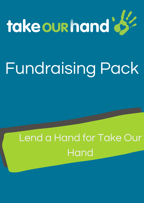

# Fundraising Pack

#### Lend a Hand for Take Our Hand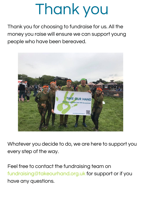## Thank you

Thank you for choosing to fundraise for us. All the money you raise will ensure we can support young people who have been bereaved.



Whatever you decide to do, we are here to support you every step of the way.

Feel free to contact the fundraising team on fundraising@takeourhand.org.uk for support or if you have any questions.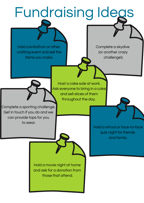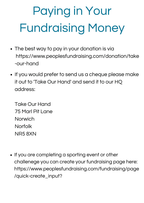### Paying in Your Fundraising Money

- The best way to pay in your donation is via https://www.peoplesfundraising.com/donation/take -our-hand
- If you would prefer to send us a cheque please make it out to 'Take Our Hand' and send it to our HQ address:

Take Our Hand 75 Marl Pit Lane Norwich Norfolk NR5 8XN

• If you are completing a sporting event or other challenege you can create your fundraising page here: https://www.peoplesfundraising.com/fundraising/page /quick-create\_input?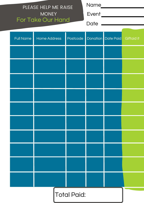| PLEASE HELP ME RAISE<br><b>MONEY</b><br>For Take Our Hand |                     |          | Name<br>Event<br>Date |                    |                   |
|-----------------------------------------------------------|---------------------|----------|-----------------------|--------------------|-------------------|
| <b>Full Name</b>                                          | <b>Home Address</b> | Postcode |                       | Donation Date Paid | <b>Giftaid it</b> |
|                                                           |                     |          |                       |                    |                   |
|                                                           |                     |          |                       |                    |                   |
|                                                           |                     |          |                       |                    |                   |
|                                                           |                     |          |                       |                    |                   |
|                                                           |                     |          |                       |                    |                   |
|                                                           |                     |          |                       |                    |                   |
|                                                           |                     |          |                       |                    |                   |
|                                                           |                     |          |                       |                    |                   |
|                                                           |                     |          |                       |                    |                   |

Total Paid: